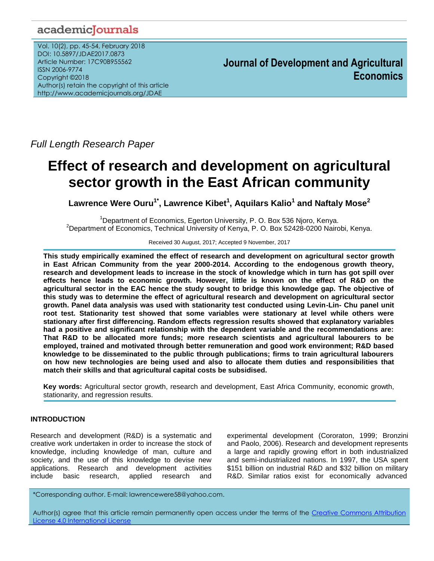# academicJournals

Vol. 10(2), pp. 45-54, February 2018 DOI: 10.5897/JDAE2017.0873 Article Number: 17C90B955562 ISSN 2006-9774 Copyright ©2018 Author(s) retain the copyright of this article http://www.academicjournals.org/JDAE

**Journal of Development and Agricultural Economics**

*Full Length Research Paper*

# **Effect of research and development on agricultural sector growth in the East African community**

**Lawrence Were Ouru1\* , Lawrence Kibet<sup>1</sup> , Aquilars Kalio<sup>1</sup> and Naftaly Mose<sup>2</sup>**

<sup>1</sup>Department of Economics, Egerton University, P. O. Box 536 Njoro, Kenya. <sup>2</sup>Department of Economics, Technical University of Kenya, P. O. Box 52428-0200 Nairobi, Kenya.

Received 30 August, 2017; Accepted 9 November, 2017

**This study empirically examined the effect of research and development on agricultural sector growth in East African Community from the year 2000-2014. According to the endogenous growth theory, research and development leads to increase in the stock of knowledge which in turn has got spill over effects hence leads to economic growth. However, little is known on the effect of R&D on the agricultural sector in the EAC hence the study sought to bridge this knowledge gap. The objective of this study was to determine the effect of agricultural research and development on agricultural sector growth. Panel data analysis was used with stationarity test conducted using Levin-Lin- Chu panel unit root test. Stationarity test showed that some variables were stationary at level while others were stationary after first differencing. Random effects regression results showed that explanatory variables had a positive and significant relationship with the dependent variable and the recommendations are: That R&D to be allocated more funds; more research scientists and agricultural labourers to be employed, trained and motivated through better remuneration and good work environment; R&D based knowledge to be disseminated to the public through publications; firms to train agricultural labourers on how new technologies are being used and also to allocate them duties and responsibilities that match their skills and that agricultural capital costs be subsidised.**

**Key words:** Agricultural sector growth, research and development, East Africa Community, economic growth, stationarity, and regression results.

# **INTRODUCTION**

Research and development (R&D) is a systematic and creative work undertaken in order to increase the stock of knowledge, including knowledge of man, culture and society, and the use of this knowledge to devise new applications. Research and development activities include basic research, applied research and

experimental development (Cororaton, 1999; Bronzini and Paolo, 2006). Research and development represents a large and rapidly growing effort in both industrialized and semi-industrialized nations. In 1997, the USA spent \$151 billion on industrial R&D and \$32 billion on military R&D. Similar ratios exist for economically advanced

\*Corresponding author. E-mail: lawrencewere58@yahoo.com.

Author(s) agree that this article remain permanently open access under the terms of the Creative Commons Attribution [License 4.0 International License](http://creativecommons.org/licenses/by/4.0/deed.en_US)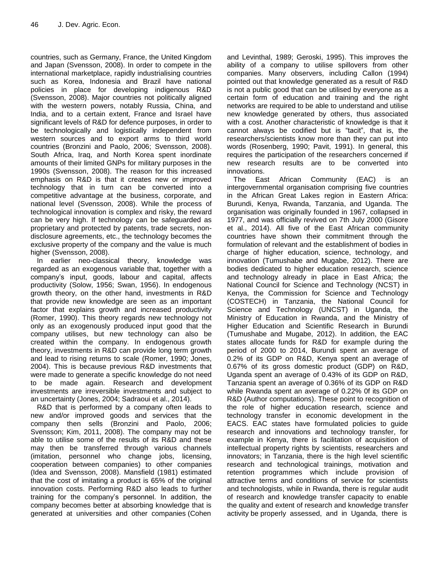countries, such as Germany, France, the United Kingdom and Japan (Svensson, 2008). In order to compete in the international marketplace, rapidly industrialising countries such as Korea, Indonesia and Brazil have national policies in place for developing indigenous R&D (Svensson, 2008). Major countries not politically aligned with the western powers, notably Russia, China, and India, and to a certain extent, France and Israel have significant levels of R&D for defence purposes, in order to be technologically and logistically independent from western sources and to export arms to third world countries (Bronzini and Paolo, 2006; Svensson, 2008). South Africa, Iraq, and North Korea spent inordinate amounts of their limited GNPs for military purposes in the 1990s (Svensson, 2008). The reason for this increased emphasis on R&D is that it creates new or improved technology that in turn can be converted into a competitive advantage at the business, corporate, and national level (Svensson, 2008). While the process of technological innovation is complex and risky, the reward can be very high. If technology can be safeguarded as proprietary and protected by patents, trade secrets, nondisclosure agreements, etc., the technology becomes the exclusive property of the company and the value is much higher (Svensson, 2008).

In earlier neo-classical theory, knowledge was regarded as an exogenous variable that, together with a company's input, goods, labour and capital, affects productivity (Solow, 1956; Swan, 1956). In endogenous growth theory, on the other hand, investments in R&D that provide new knowledge are seen as an important factor that explains growth and increased productivity (Romer, 1990). This theory regards new technology not only as an exogenously produced input good that the company utilises, but new technology can also be created within the company. In endogenous growth theory, investments in R&D can provide long term growth and lead to rising returns to scale (Romer, 1990; Jones, 2004). This is because previous R&D investments that were made to generate a specific knowledge do not need to be made again. Research and development investments are irreversible investments and subject to an uncertainty (Jones, 2004; Sadraoui et al., 2014).

R&D that is performed by a company often leads to new and/or improved goods and services that the company then sells (Bronzini and Paolo, 2006; Svensson; Kim, 2011, 2008). The company may not be able to utilise some of the results of its R&D and these may then be transferred through various channels (imitation, personnel who change jobs, licensing, cooperation between companies) to other companies (Idea and Svensson, 2008). Mansfield (1981) estimated that the cost of imitating a product is 65% of the original innovation costs. Performing R&D also leads to further training for the company's personnel. In addition, the company becomes better at absorbing knowledge that is generated at universities and other companies (Cohen and Levinthal, 1989; Geroski, 1995). This improves the ability of a company to utilise spillovers from other companies. Many observers, including Callon (1994) pointed out that knowledge generated as a result of R&D is not a public good that can be utilised by everyone as a certain form of education and training and the right networks are required to be able to understand and utilise new knowledge generated by others, thus associated with a cost. Another characteristic of knowledge is that it cannot always be codified but is "tacit", that is, the researchers/scientists know more than they can put into words (Rosenberg, 1990; Pavit, 1991). In general, this requires the participation of the researchers concerned if new research results are to be converted into innovations.

The East African Community (EAC) is an intergovernmental organisation comprising five countries in the African Great Lakes region in Eastern Africa: Burundi, Kenya, Rwanda, Tanzania, and Uganda. The organisation was originally founded in 1967, collapsed in 1977, and was officially revived on 7th July 2000 (Gisore et al., 2014). All five of the East African community countries have shown their commitment through the formulation of relevant and the establishment of bodies in charge of higher education, science, technology, and innovation (Tumushabe and Mugabe, 2012). There are bodies dedicated to higher education research, science and technology already in place in East Africa; the National Council for Science and Technology (NCST) in Kenya, the Commission for Science and Technology (COSTECH) in Tanzania, the National Council for Science and Technology (UNCST) in Uganda, the Ministry of Education in Rwanda, and the Ministry of Higher Education and Scientific Research in Burundi (Tumushabe and Mugabe, 2012). In addition, the EAC states allocate funds for R&D for example during the period of 2000 to 2014, Burundi spent an average of 0.2% of its GDP on R&D, Kenya spent an average of 0.67% of its gross domestic product (GDP) on R&D, Uganda spent an average of 0.43% of its GDP on R&D, Tanzania spent an average of 0.36% of its GDP on R&D while Rwanda spent an average of 0.22% 0f its GDP on R&D (Author computations). These point to recognition of the role of higher education research, science and technology transfer in economic development in the EACS. EAC states have formulated policies to guide research and innovations and technology transfer, for example in Kenya, there is facilitation of acquisition of intellectual property rights by scientists, researchers and innovators; in Tanzania, there is the high level scientific research and technological trainings, motivation and retention programmes which include provision of attractive terms and conditions of service for scientists and technologists, while in Rwanda, there is regular audit of research and knowledge transfer capacity to enable the quality and extent of research and knowledge transfer activity be properly assessed, and in Uganda, there is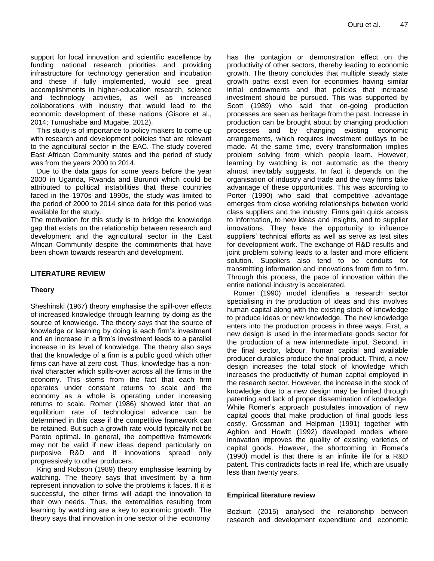support for local innovation and scientific excellence by funding national research priorities and providing infrastructure for technology generation and incubation and these if fully implemented, would see great accomplishments in higher-education research, science and technology activities, as well as increased collaborations with industry that would lead to the economic development of these nations (Gisore et al., 2014; Tumushabe and Mugabe, 2012).

This study is of importance to policy makers to come up with research and development policies that are relevant to the agricultural sector in the EAC. The study covered East African Community states and the period of study was from the years 2000 to 2014.

Due to the data gaps for some years before the year 2000 in Uganda, Rwanda and Burundi which could be attributed to political instabilities that these countries faced in the 1970s and 1990s, the study was limited to the period of 2000 to 2014 since data for this period was available for the study.

The motivation for this study is to bridge the knowledge gap that exists on the relationship between research and development and the agricultural sector in the East African Community despite the commitments that have been shown towards research and development.

# **LITERATURE REVIEW**

# **Theory**

Sheshinski (1967) theory emphasise the spill-over effects of increased knowledge through learning by doing as the source of knowledge. The theory says that the source of knowledge or learning by doing is each firm's investment and an increase in a firm's investment leads to a parallel increase in its level of knowledge. The theory also says that the knowledge of a firm is a public good which other firms can have at zero cost. Thus, knowledge has a nonrival character which spills-over across all the firms in the economy. This stems from the fact that each firm operates under constant returns to scale and the economy as a whole is operating under increasing returns to scale. Romer (1986) showed later that an equilibrium rate of technological advance can be determined in this case if the competitive framework can be retained. But such a growth rate would typically not be Pareto optimal. In general, the competitive framework may not be valid if new ideas depend particularly on purposive R&D and if innovations spread only progressively to other producers.

King and Robson (1989) theory emphasise learning by watching. The theory says that investment by a firm represent innovation to solve the problems it faces. If it is successful, the other firms will adapt the innovation to their own needs. Thus, the externalities resulting from learning by watching are a key to economic growth. The theory says that innovation in one sector of the economy

has the contagion or demonstration effect on the productivity of other sectors, thereby leading to economic growth. The theory concludes that multiple steady state growth paths exist even for economies having similar initial endowments and that policies that increase investment should be pursued. This was supported by Scott (1989) who said that on-going production processes are seen as heritage from the past. Increase in production can be brought about by changing production processes and by changing existing economic arrangements, which requires investment outlays to be made. At the same time, every transformation implies problem solving from which people learn. However, learning by watching is not automatic as the theory almost inevitably suggests. In fact it depends on the organisation of industry and trade and the way firms take advantage of these opportunities. This was according to Porter (1990) who said that competitive advantage emerges from close working relationships between world class suppliers and the industry. Firms gain quick access to information, to new ideas and insights, and to supplier innovations. They have the opportunity to influence suppliers' technical efforts as well as serve as test sites for development work. The exchange of R&D results and joint problem solving leads to a faster and more efficient solution. Suppliers also tend to be conduits for transmitting information and innovations from firm to firm. Through this process, the pace of innovation within the entire national industry is accelerated.

Romer (1990) model identifies a research sector specialising in the production of ideas and this involves human capital along with the existing stock of knowledge to produce ideas or new knowledge. The new knowledge enters into the production process in three ways. First, a new design is used in the intermediate goods sector for the production of a new intermediate input. Second, in the final sector, labour, human capital and available producer durables produce the final product. Third, a new design increases the total stock of knowledge which increases the productivity of human capital employed in the research sector. However, the increase in the stock of knowledge due to a new design may be limited through patenting and lack of proper dissemination of knowledge. While Romer's approach postulates innovation of new capital goods that make production of final goods less costly, Grossman and Helpman (1991) together with Aghion and Howitt (1992) developed models where innovation improves the quality of existing varieties of capital goods. However, the shortcoming in Romer's (1990) model is that there is an infinite life for a R&D patent. This contradicts facts in real life, which are usually less than twenty years.

# **Empirical literature review**

Bozkurt (2015) analysed the relationship between research and development expenditure and economic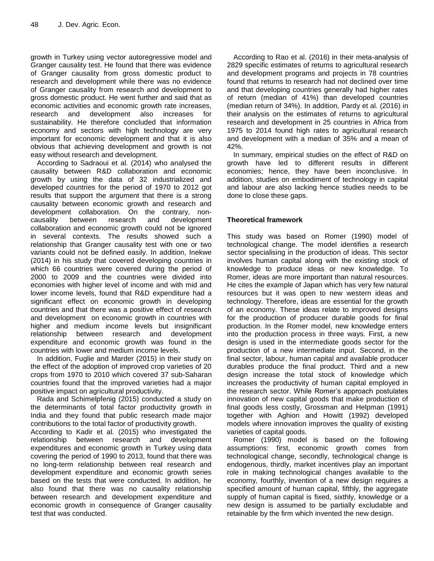growth in Turkey using vector autoregressive model and Granger causality test. He found that there was evidence of Granger causality from gross domestic product to research and development while there was no evidence of Granger causality from research and development to gross domestic product. He went further and said that as economic activities and economic growth rate increases, research and development also increases for sustainability. He therefore concluded that information economy and sectors with high technology are very important for economic development and that it is also obvious that achieving development and growth is not easy without research and development.

According to Sadraoui et al. (2014) who analysed the causality between R&D collaboration and economic growth by using the data of 32 industrialized and developed countries for the period of 1970 to 2012 got results that support the argument that there is a strong causality between economic growth and research and development collaboration. On the contrary, noncausality between research and development collaboration and economic growth could not be ignored in several contexts. The results showed such a relationship that Granger causality test with one or two variants could not be defined easily. In addition, Inekwe (2014) in his study that covered developing countries in which 66 countries were covered during the period of 2000 to 2009 and the countries were divided into economies with higher level of income and with mid and lower income levels, found that R&D expenditure had a significant effect on economic growth in developing countries and that there was a positive effect of research and development on economic growth in countries with higher and medium income levels but insignificant relationship between research and development expenditure and economic growth was found in the countries with lower and medium income levels.

In addition, Fuglie and Marder (2015) in their study on the effect of the adoption of improved crop varieties of 20 crops from 1970 to 2010 which covered 37 sub-Saharan countries found that the improved varieties had a major positive impact on agricultural productivity.

Rada and Schimelpfenig (2015) conducted a study on the determinants of total factor productivity growth in India and they found that public research made major contributions to the total factor of productivity growth.

According to Kadir et al. (2015) who investigated the relationship between research and development expenditures and economic growth in Turkey using data covering the period of 1990 to 2013, found that there was no long-term relationship between real research and development expenditure and economic growth series based on the tests that were conducted. In addition, he also found that there was no causality relationship between research and development expenditure and economic growth in consequence of Granger causality test that was conducted.

According to Rao et al. (2016) in their meta-analysis of 2829 specific estimates of returns to agricultural research and development programs and projects in 78 countries found that returns to research had not declined over time and that developing countries generally had higher rates of return (median of 41%) than developed countries (median return of 34%). In addition, Pardy et al. (2016) in their analysis on the estimates of returns to agricultural research and development in 25 countries in Africa from 1975 to 2014 found high rates to agricultural research and development with a median of 35% and a mean of 42%.

In summary, empirical studies on the effect of R&D on growth have led to different results in different economies; hence, they have been inconclusive. In addition, studies on embodiment of technology in capital and labour are also lacking hence studies needs to be done to close these gaps.

# **Theoretical framework**

This study was based on Romer (1990) model of technological change. The model identifies a research sector specialising in the production of ideas. This sector involves human capital along with the existing stock of knowledge to produce ideas or new knowledge. To Romer, ideas are more important than natural resources. He cites the example of Japan which has very few natural resources but it was open to new western ideas and technology. Therefore, ideas are essential for the growth of an economy. These ideas relate to improved designs for the production of producer durable goods for final production. In the Romer model, new knowledge enters into the production process in three ways. First, a new design is used in the intermediate goods sector for the production of a new intermediate input. Second, in the final sector, labour, human capital and available producer durables produce the final product. Third and a new design increase the total stock of knowledge which increases the productivity of human capital employed in the research sector. While Romer's approach postulates innovation of new capital goods that make production of final goods less costly, Grossman and Helpman (1991) together with Aghion and Howitt (1992) developed models where innovation improves the quality of existing varieties of capital goods.

Romer (1990) model is based on the following assumptions: first, economic growth comes from technological change, secondly, technological change is endogenous, thirdly, market incentives play an important role in making technological changes available to the economy, fourthly, invention of a new design requires a specified amount of human capital, fifthly, the aggregate supply of human capital is fixed, sixthly, knowledge or a new design is assumed to be partially excludable and retainable by the firm which invented the new design.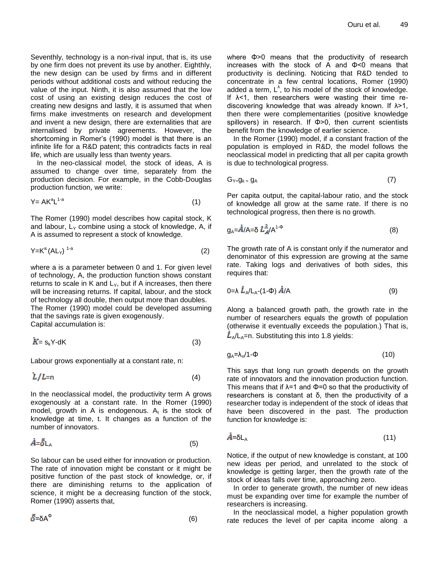Seventhly, technology is a non-rival input, that is, its use by one firm does not prevent its use by another. Eighthly, the new design can be used by firms and in different periods without additional costs and without reducing the value of the input. Ninth, it is also assumed that the low cost of using an existing design reduces the cost of creating new designs and lastly, it is assumed that when firms make investments on research and development and invent a new design, there are externalities that are internalised by private agreements. However, the shortcoming in Romer's (1990) model is that there is an infinite life for a R&D patent; this contradicts facts in real life, which are usually less than twenty years.

In the neo-classical model, the stock of ideas, A is assumed to change over time, separately from the production decision. For example, in the Cobb-Douglas production function, we write:

$$
Y = AK^aL^{1-a} \tag{1}
$$

The Romer (1990) model describes how capital stock, K and labour,  $L<sub>Y</sub>$  combine using a stock of knowledge, A, if A is assumed to represent a stock of knowledge.

$$
Y = K^a (AL_Y)^{1-a} \tag{2}
$$

where a is a parameter between 0 and 1. For given level of technology, A, the production function shows constant returns to scale in K and  $L<sub>Y</sub>$ , but if A increases, then there will be increasing returns. If capital, labour, and the stock of technology all double, then output more than doubles. The Romer (1990) model could be developed assuming that the savings rate is given exogenously. Capital accumulation is:

$$
K = s_k Y \text{-dK} \tag{3}
$$

Labour grows exponentially at a constant rate, n:

$$
L/L=n \tag{4}
$$

In the neoclassical model, the productivity term A grows exogenously at a constant rate. In the Romer (1990) model, growth in A is endogenous.  $A_t$  is the stock of knowledge at time, t. It changes as a function of the number of innovators.

$$
\dot{A} = \bar{\delta} L_A \tag{5}
$$

So labour can be used either for innovation or production. The rate of innovation might be constant or it might be positive function of the past stock of knowledge, or, if there are diminishing returns to the application of science, it might be a decreasing function of the stock, Romer (1990) asserts that,

$$
\bar{\delta} = \delta A^{\Phi} \tag{6}
$$

where Φ>0 means that the productivity of research increases with the stock of A and Φ<0 means that productivity is declining. Noticing that R&D tended to concentrate in a few central locations, Romer (1990) added a term,  $L^{\lambda}$ , to his model of the stock of knowledge. If  $\lambda$ <1, then researchers were wasting their time rediscovering knowledge that was already known. If λ>1, then there were complementarities (positive knowledge spillovers) in research. If Φ>0, then current scientists benefit from the knowledge of earlier science.

In the Romer (1990) model, if a constant fraction of the population is employed in R&D, the model follows the neoclassical model in predicting that all per capita growth is due to technological progress.

$$
G_{Y=Q_k} = g_A \tag{7}
$$

Per capita output, the capital-labour ratio, and the stock of knowledge all grow at the same rate. If there is no technological progress, then there is no growth.

$$
g_A = \dot{A}/A = \delta L_A^{\lambda} / A^{1-\Phi}
$$
 (8)

The growth rate of A is constant only if the numerator and denominator of this expression are growing at the same rate. Taking logs and derivatives of both sides, this requires that:

$$
0 = \lambda \dot{L}_{A}/L_{A} - (1-\Phi) \dot{A}/A \tag{9}
$$

Along a balanced growth path, the growth rate in the number of researchers equals the growth of population (otherwise it eventually exceeds the population.) That is,  $\dot{L}_{A}/L_{A}=$ n. Substituting this into 1.8 yields:

$$
g_A = \lambda_n / 1 - \Phi \tag{10}
$$

This says that long run growth depends on the growth rate of innovators and the innovation production function. This means that if  $\lambda$ =1 and  $\Phi$ =0 so that the productivity of researchers is constant at δ, then the productivity of a researcher today is independent of the stock of ideas that have been discovered in the past. The production function for knowledge is:

$$
\dot{A} = \delta L_A \tag{11}
$$

Notice, if the output of new knowledge is constant, at 100 new ideas per period, and unrelated to the stock of knowledge is getting larger, then the growth rate of the stock of ideas falls over time, approaching zero.

In order to generate growth, the number of new ideas must be expanding over time for example the number of researchers is increasing.

In the neoclassical model, a higher population growth rate reduces the level of per capita income along a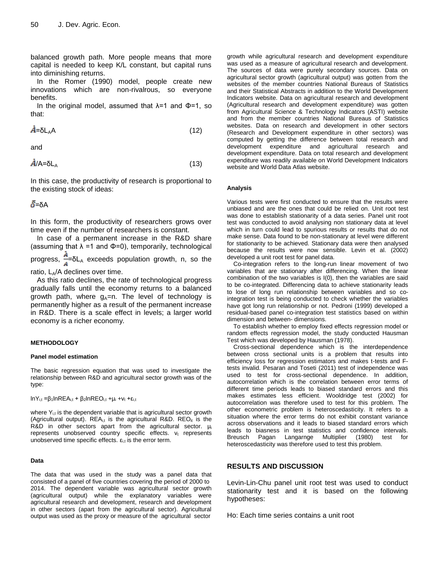balanced growth path. More people means that more capital is needed to keep K/L constant, but capital runs into diminishing returns.

In the Romer (1990) model, people create new innovations which are non-rivalrous, so everyone benefits.

In the original model, assumed that  $\lambda=1$  and  $\Phi=1$ , so that:

$$
\dot{A} = \delta L_A A \tag{12}
$$

and

$$
\dot{A}/A = \delta L_A \tag{13}
$$

In this case, the productivity of research is proportional to the existing stock of ideas:

# $\bar{\delta}$ =δΑ

In this form, the productivity of researchers grows over time even if the number of researchers is constant.

In case of a permanent increase in the R&D share (assuming that  $\lambda$  =1 and  $\Phi$ =0), temporarily, technological progress,  $\frac{A}{A} = \delta L$ <sub>A</sub> exceeds population growth, n, so the

ratio,  $L_A/A$  declines over time.

As this ratio declines, the rate of technological progress gradually falls until the economy returns to a balanced growth path, where  $g_A = n$ . The level of technology is permanently higher as a result of the permanent increase in R&D. There is a scale effect in levels; a larger world economy is a richer economy.

#### **METHODOLOGY**

#### **Panel model estimation**

The basic regression equation that was used to investigate the relationship between R&D and agricultural sector growth was of the type:

lnY<sub>i,t</sub> =β<sub>1</sub>lnREA<sub>i,t</sub> + β<sub>2</sub>lnREO<sub>i,t</sub> +μ<sub>i</sub> +ν<sub>t</sub> +ε<sub>i,t</sub>

where  $Y_{i,t}$  is the dependent variable that is agricultural sector growth (Agricultural output).  $REA_{i,t}$  is the agricultural R&D.  $REO_{it}$  is the R&D in other sectors apart from the agricultural sector.  $\mu_i$ represents unobserved country specific effects.  $v_t$  represents unobserved time specific effects.  $\varepsilon_{i,t}$  is the error term.

#### **Data**

The data that was used in the study was a panel data that consisted of a panel of five countries covering the period of 2000 to 2014. The dependent variable was agricultural sector growth (agricultural output) while the explanatory variables were agricultural research and development, research and development in other sectors (apart from the agricultural sector). Agricultural output was used as the proxy or measure of the agricultural sector

growth while agricultural research and development expenditure was used as a measure of agricultural research and development. The sources of data were purely secondary sources. Data on agricultural sector growth (agricultural output) was gotten from the websites of the member countries National Bureaus of Statistics and their Statistical Abstracts in addition to the World Development Indicators website. Data on agricultural research and development (Agricultural research and development expenditure) was gotten from Agricultural Science & Technology Indicators (ASTI) website and from the member countries National Bureaus of Statistics websites. Data on research and development in other sectors (Research and Development expenditure in other sectors) was computed by getting the difference between total research and development expenditure and agricultural research and development expenditure. Data on total research and development expenditure was readily available on World Development Indicators website and World Data Atlas website.

#### **Analysis**

Various tests were first conducted to ensure that the results were unbiased and are the ones that could be relied on. Unit root test was done to establish stationarity of a data series. Panel unit root test was conducted to avoid analysing non stationary data at level which in turn could lead to spurious results or results that do not make sense. Data found to be non-stationary at level were different for stationarity to be achieved. Stationary data were then analysed because the results were now sensible. Levin et al. (2002) developed a unit root test for panel data.

Co-integration refers to the long-run linear movement of two variables that are stationary after differencing. When the linear combination of the two variables is I(0), then the variables are said to be co-integrated. Differencing data to achieve stationarity leads to lose of long run relationship between variables and so cointegration test is being conducted to check whether the variables have got long run relationship or not. Pedroni (1999) developed a residual-based panel co-integration test statistics based on within dimension and between- dimensions.

To establish whether to employ fixed effects regression model or random effects regression model, the study conducted Hausman Test which was developed by Hausman (1978).

Cross-sectional dependence which is the interdependence between cross sectional units is a problem that results into efficiency loss for regression estimators and makes t-tests and Ftests invalid. Pesaran and Toseti (2011) test of independence was used to test for cross-sectional dependence. In addition, autocorrelation which is the correlation between error terms of different time periods leads to biased standard errors and this makes estimates less efficient. Wooldridge test (2002) for autocorrelation was therefore used to test for this problem. The other econometric problem is heteroscedasticity. It refers to a situation where the error terms do not exhibit constant variance across observations and it leads to biased standard errors which leads to biasness in test statistics and confidence intervals. Breusch Pagan Langarnge Multiplier (1980) test for heteroscedasticity was therefore used to test this problem.

# **RESULTS AND DISCUSSION**

Levin-Lin-Chu panel unit root test was used to conduct stationarity test and it is based on the following hypotheses:

Ho: Each time series contains a unit root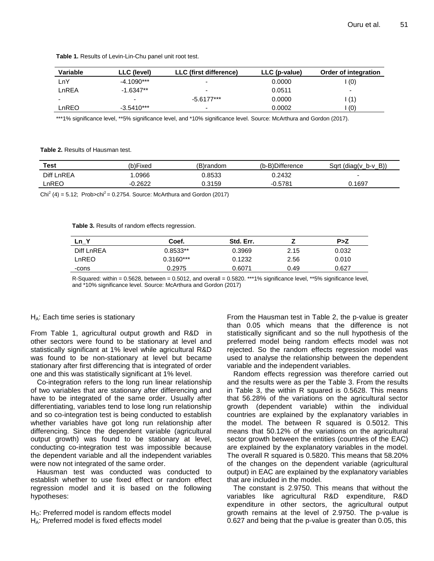| <b>Variable</b> | LLC (level)  | LLC (first difference)   | LLC (p-value) | Order of integration |
|-----------------|--------------|--------------------------|---------------|----------------------|
| ∟nY             | $-4.1090***$ | $\overline{\phantom{a}}$ | 0.0000        | (0)                  |
| LnREA           | $-1.6347**$  | ۰                        | 0.0511        | -                    |
| -               | -            | $-5.6177***$             | 0.0000        | (1)                  |
| LnREO           | $-3.5410***$ | $\overline{\phantom{0}}$ | 0.0002        | (0)                  |

**Table 1.** Results of Levin-Lin-Chu panel unit root test.

\*\*\*1% significance level, \*\*5% significance level, and \*10% significance level. Source: McArthura and Gordon (2017).

**Table 2.** Results of Hausman test.

| <b>Test</b> | (b)Fixed  | (B)random | (b-B)Difference | Sart (diag( $v$ b- $v$ B)) |
|-------------|-----------|-----------|-----------------|----------------------------|
| Diff LnREA  | .0966     | 0.8533    | 0.2432          | $\overline{\phantom{0}}$   |
| LnREO       | $-0.2622$ | 0.3159    | $-0.5781$       | 0.1697                     |
|             |           |           |                 |                            |

Chi<sup>2</sup> (4) = 5.12; Prob>chi<sup>2</sup> = 0.2754. Source: McArthura and Gordon (2017)

**Table 3.** Results of random effects regression.

| $Ln_{-}$   | Coef.       | Std. Err. |      | P>Z   |
|------------|-------------|-----------|------|-------|
| Diff LnREA | $0.8533**$  | 0.3969    | 2.15 | 0.032 |
| LnREO      | $0.3160***$ | 0.1232    | 2.56 | 0.010 |
| -cons      | 0.2975      | 0.6071    | 0.49 | 0.627 |

R-Squared: within =  $0.5628$ , between =  $0.5012$ , and overall =  $0.5820$ . \*\*\*1% significance level, \*\*5% significance level, and \*10% significance level. Source: McArthura and Gordon (2017)

#### $H_A$ : Each time series is stationary

From Table 1, agricultural output growth and R&D in other sectors were found to be stationary at level and statistically significant at 1% level while agricultural R&D was found to be non-stationary at level but became stationary after first differencing that is integrated of order one and this was statistically significant at 1% level.

Co-integration refers to the long run linear relationship of two variables that are stationary after differencing and have to be integrated of the same order. Usually after differentiating, variables tend to lose long run relationship and so co-integration test is being conducted to establish whether variables have got long run relationship after differencing. Since the dependent variable (agricultural output growth) was found to be stationary at level, conducting co-integration test was impossible because the dependent variable and all the independent variables were now not integrated of the same order.

Hausman test was conducted was conducted to establish whether to use fixed effect or random effect regression model and it is based on the following hypotheses:

 $H<sub>o</sub>$ : Preferred model is random effects model HA: Preferred model is fixed effects model

From the Hausman test in Table 2, the p-value is greater than 0.05 which means that the difference is not statistically significant and so the null hypothesis of the preferred model being random effects model was not rejected. So the random effects regression model was used to analyse the relationship between the dependent variable and the independent variables.

Random effects regression was therefore carried out and the results were as per the Table 3. From the results in Table 3, the within R squared is 0.5628. This means that 56.28% of the variations on the agricultural sector growth (dependent variable) within the individual countries are explained by the explanatory variables in the model. The between R squared is 0.5012. This means that 50.12% of the variations on the agricultural sector growth between the entities (countries of the EAC) are explained by the explanatory variables in the model. The overall R squared is 0.5820. This means that 58.20% of the changes on the dependent variable (agricultural output) in EAC are explained by the explanatory variables that are included in the model.

The constant is 2.9750. This means that without the variables like agricultural R&D expenditure, R&D expenditure in other sectors, the agricultural output growth remains at the level of 2.9750. The p-value is 0.627 and being that the p-value is greater than 0.05, this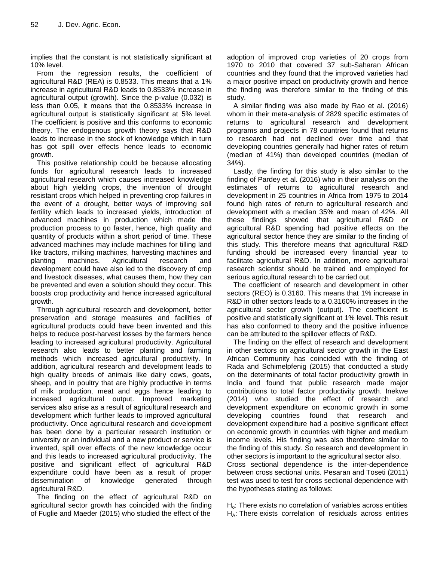implies that the constant is not statistically significant at 10% level.

From the regression results, the coefficient of agricultural R&D (REA) is 0.8533. This means that a 1% increase in agricultural R&D leads to 0.8533% increase in agricultural output (growth). Since the p-value (0.032) is less than 0.05, it means that the 0.8533% increase in agricultural output is statistically significant at 5% level. The coefficient is positive and this conforms to economic theory. The endogenous growth theory says that R&D leads to increase in the stock of knowledge which in turn has got spill over effects hence leads to economic growth.

This positive relationship could be because allocating funds for agricultural research leads to increased agricultural research which causes increased knowledge about high yielding crops, the invention of drought resistant crops which helped in preventing crop failures in the event of a drought, better ways of improving soil fertility which leads to increased yields, introduction of advanced machines in production which made the production process to go faster, hence, high quality and quantity of products within a short period of time. These advanced machines may include machines for tilling land like tractors, milking machines, harvesting machines and planting machines. Agricultural research and development could have also led to the discovery of crop and livestock diseases, what causes them, how they can be prevented and even a solution should they occur. This boosts crop productivity and hence increased agricultural growth.

Through agricultural research and development, better preservation and storage measures and facilities of agricultural products could have been invented and this helps to reduce post-harvest losses by the farmers hence leading to increased agricultural productivity. Agricultural research also leads to better planting and farming methods which increased agricultural productivity. In addition, agricultural research and development leads to high quality breeds of animals like dairy cows, goats, sheep, and in poultry that are highly productive in terms of milk production, meat and eggs hence leading to increased agricultural output. Improved marketing services also arise as a result of agricultural research and development which further leads to improved agricultural productivity. Once agricultural research and development has been done by a particular research institution or university or an individual and a new product or service is invented, spill over effects of the new knowledge occur and this leads to increased agricultural productivity. The positive and significant effect of agricultural R&D expenditure could have been as a result of proper dissemination of knowledge generated through agricultural R&D.

The finding on the effect of agricultural R&D on agricultural sector growth has coincided with the finding of Fuglie and Maeder (2015) who studied the effect of the adoption of improved crop varieties of 20 crops from 1970 to 2010 that covered 37 sub-Saharan African countries and they found that the improved varieties had a major positive impact on productivity growth and hence the finding was therefore similar to the finding of this study.

A similar finding was also made by Rao et al. (2016) whom in their meta-analysis of 2829 specific estimates of returns to agricultural research and development programs and projects in 78 countries found that returns to research had not declined over time and that developing countries generally had higher rates of return (median of 41%) than developed countries (median of 34%).

Lastly, the finding for this study is also similar to the finding of Pardey et al. (2016) who in their analysis on the estimates of returns to agricultural research and development in 25 countries in Africa from 1975 to 2014 found high rates of return to agricultural research and development with a median 35% and mean of 42%. All these findings showed that agricultural R&D or agricultural R&D spending had positive effects on the agricultural sector hence they are similar to the finding of this study. This therefore means that agricultural R&D funding should be increased every financial year to facilitate agricultural R&D. In addition, more agricultural research scientist should be trained and employed for serious agricultural research to be carried out.

The coefficient of research and development in other sectors (REO) is 0.3160. This means that 1% increase in R&D in other sectors leads to a 0.3160% increases in the agricultural sector growth (output). The coefficient is positive and statistically significant at 1% level. This result has also conformed to theory and the positive influence can be attributed to the spillover effects of R&D.

The finding on the effect of research and development in other sectors on agricultural sector growth in the East African Community has coincided with the finding of Rada and Schimelpfenig (2015) that conducted a study on the determinants of total factor productivity growth in India and found that public research made major contributions to total factor productivity growth. Inekwe (2014) who studied the effect of research and development expenditure on economic growth in some developing countries found that research and development expenditure had a positive significant effect on economic growth in countries with higher and medium income levels. His finding was also therefore similar to the finding of this study. So research and development in other sectors is important to the agricultural sector also.

Cross sectional dependence is the inter-dependence between cross sectional units. Pesaran and Toseti (2011) test was used to test for cross sectional dependence with the hypotheses stating as follows:

 $H<sub>o</sub>$ : There exists no correlation of variables across entities  $H_A$ : There exists correlation of residuals across entities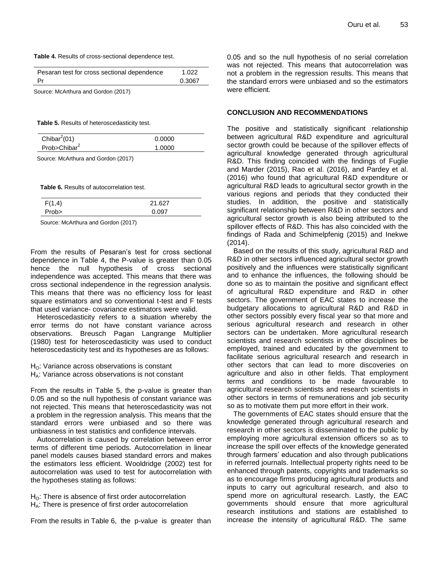#### **Table 4.** Results of cross-sectional dependence test.

| Pesaran test for cross sectional dependence | 1.022  |
|---------------------------------------------|--------|
| Pr                                          | 0.3067 |
|                                             |        |

Source: McArthura and Gordon (2017)

**Table 5.** Results of heteroscedasticity test.

| Chibar <sup>2</sup> (01) | 0.0000 |  |
|--------------------------|--------|--|
| Prob>Chibar <sup>2</sup> | 1.0000 |  |

Source: McArthura and Gordon (2017)

**Table 6.** Results of autocorrelation test.

| F(1,4) | 21.627 |
|--------|--------|
| Prob>  | 0.097  |

Source: McArthura and Gordon (2017)

From the results of Pesaran's test for cross sectional dependence in Table 4, the P-value is greater than 0.05 hence the null hypothesis of cross sectional independence was accepted. This means that there was cross sectional independence in the regression analysis. This means that there was no efficiency loss for least square estimators and so conventional t-test and F tests that used variance- covariance estimators were valid.

Heteroscedasticity refers to a situation whereby the error terms do not have constant variance across observations. Breusch Pagan Langrange Multiplier (1980) test for heteroscedasticity was used to conduct heteroscedasticity test and its hypotheses are as follows:

 $H<sub>O</sub>$ : Variance across observations is constant H<sub>A</sub>: Variance across observations is not constant

From the results in Table 5, the p-value is greater than 0.05 and so the null hypothesis of constant variance was not rejected. This means that heteroscedasticity was not a problem in the regression analysis. This means that the standard errors were unbiased and so there was unbiasness in test statistics and confidence intervals.

Autocorrelation is caused by correlation between error terms of different time periods. Autocorrelation in linear panel models causes biased standard errors and makes the estimators less efficient. Wooldridge (2002) test for autocorrelation was used to test for autocorrelation with the hypotheses stating as follows:

 $H<sub>O</sub>$ : There is absence of first order autocorrelation H<sub>A</sub>: There is presence of first order autocorrelation

From the results in Table 6, the p-value is greater than

0.05 and so the null hypothesis of no serial correlation was not rejected. This means that autocorrelation was not a problem in the regression results. This means that the standard errors were unbiased and so the estimators were efficient.

#### **CONCLUSION AND RECOMMENDATIONS**

The positive and statistically significant relationship between agricultural R&D expenditure and agricultural sector growth could be because of the spillover effects of agricultural knowledge generated through agricultural R&D. This finding coincided with the findings of Fuglie and Marder (2015), Rao et al. (2016), and Pardey et al. (2016) who found that agricultural R&D expenditure or agricultural R&D leads to agricultural sector growth in the various regions and periods that they conducted their studies. In addition, the positive and statistically significant relationship between R&D in other sectors and agricultural sector growth is also being attributed to the spillover effects of R&D. This has also coincided with the findings of Rada and Schimelpfenig (2015) and Inekwe (2014).

Based on the results of this study, agricultural R&D and R&D in other sectors influenced agricultural sector growth positively and the influences were statistically significant and to enhance the influences, the following should be done so as to maintain the positive and significant effect of agricultural R&D expenditure and R&D in other sectors. The government of EAC states to increase the budgetary allocations to agricultural R&D and R&D in other sectors possibly every fiscal year so that more and serious agricultural research and research in other sectors can be undertaken. More agricultural research scientists and research scientists in other disciplines be employed, trained and educated by the government to facilitate serious agricultural research and research in other sectors that can lead to more discoveries on agriculture and also in other fields. That employment terms and conditions to be made favourable to agricultural research scientists and research scientists in other sectors in terms of remunerations and job security so as to motivate them put more effort in their work.

The governments of EAC states should ensure that the knowledge generated through agricultural research and research in other sectors is disseminated to the public by employing more agricultural extension officers so as to increase the spill over effects of the knowledge generated through farmers' education and also through publications in referred journals. Intellectual property rights need to be enhanced through patents, copyrights and trademarks so as to encourage firms producing agricultural products and inputs to carry out agricultural research, and also to spend more on agricultural research. Lastly, the EAC governments should ensure that more agricultural research institutions and stations are established to increase the intensity of agricultural R&D. The same